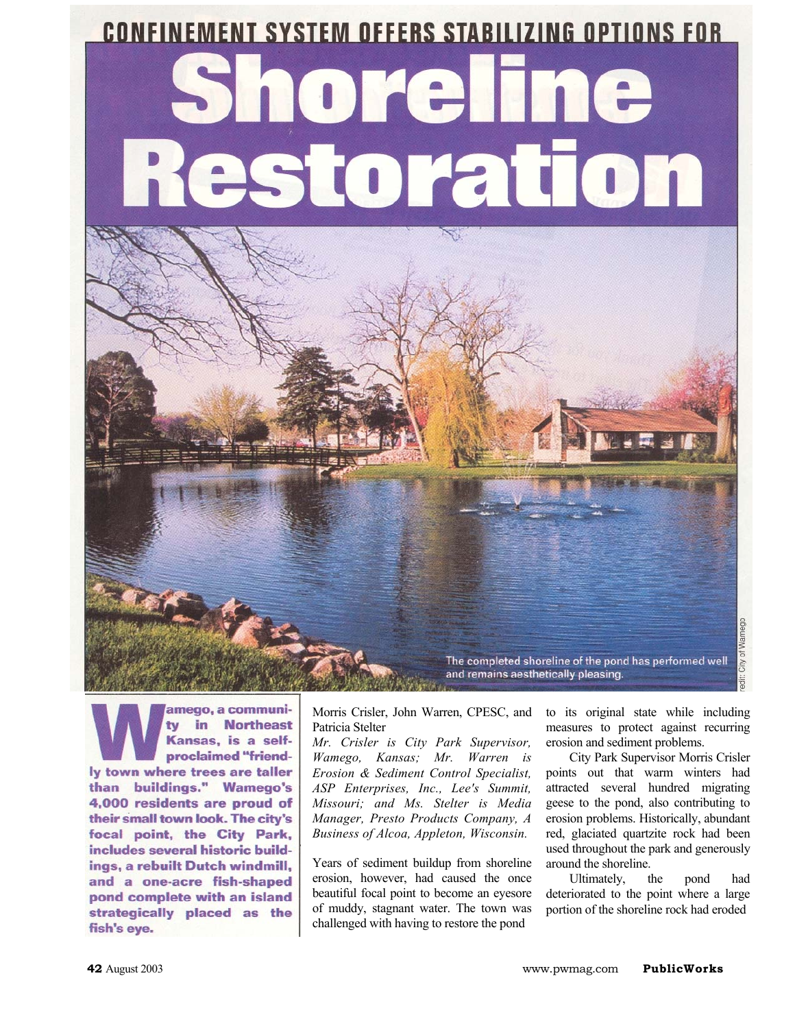## **CONFINEMENT SYSTEM OFFERS STABILIZING OPTIONS FOR**

# re toration



amego, a communiin Northeast tv Kansas, is a selfproclaimed "friendly town where trees are taller than buildings." Wamego's 4,000 residents are proud of their small town look. The city's focal point, the City Park, includes several historic buildings, a rebuilt Dutch windmill, and a one-acre fish-shaped pond complete with an island strategically placed as the fish's eye.

Morris Crisler, John Warren, CPESC, and Patricia Stelter

*Mr. Crisler is City Park Supervisor, Wamego, Kansas; Mr. Warren is Erosion & Sediment Control Specialist, ASP Enterprises, Inc., Lee's Summit, Missouri; and Ms. Stelter is Media Manager, Presto Products Company, A Business of Alcoa, Appleton, Wisconsin.* 

Years of sediment buildup from shoreline erosion, however, had caused the once beautiful focal point to become an eyesore of muddy, stagnant water. The town was challenged with having to restore the pond

to its original state while including measures to protect against recurring erosion and sediment problems.

City Park Supervisor Morris Crisler points out that warm winters had attracted several hundred migrating geese to the pond, also contributing to erosion problems. Historically, abundant red, glaciated quartzite rock had been used throughout the park and generously around the shoreline.

Ultimately, the pond had deteriorated to the point where a large portion of the shoreline rock had eroded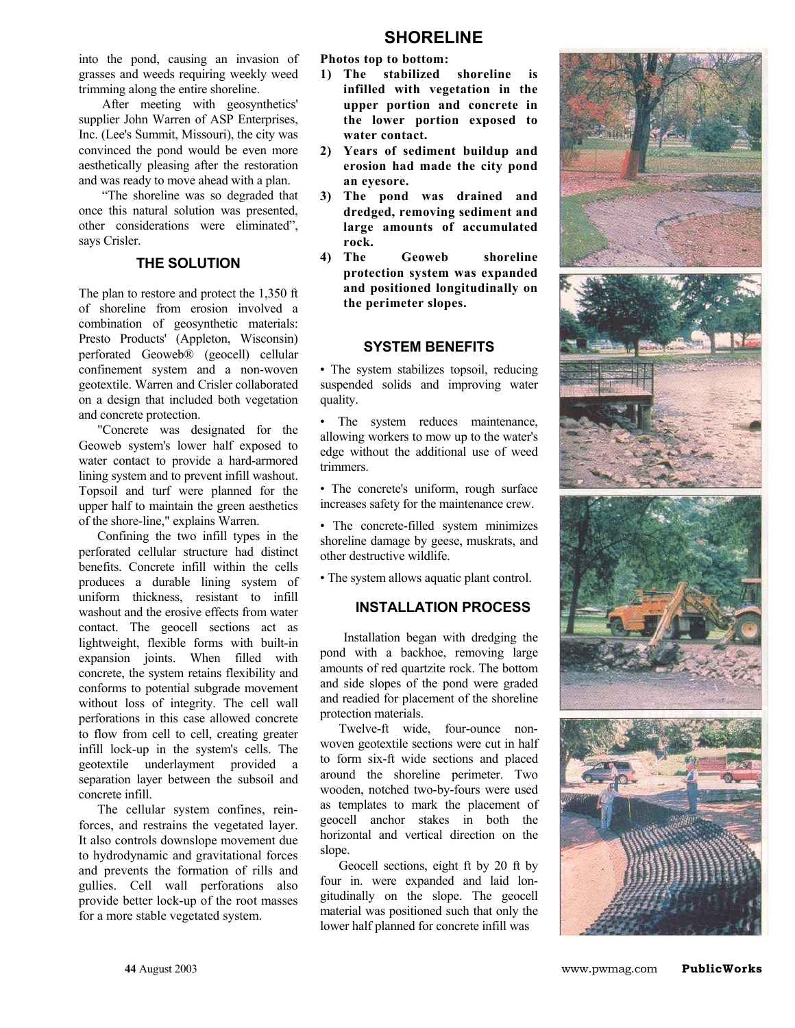into the pond, causing an invasion of grasses and weeds requiring weekly weed trimming along the entire shoreline.

After meeting with geosynthetics' supplier John Warren of ASP Enterprises, Inc. (Lee's Summit, Missouri), the city was convinced the pond would be even more aesthetically pleasing after the restoration and was ready to move ahead with a plan.

"The shoreline was so degraded that once this natural solution was presented, other considerations were eliminated", says Crisler.

#### **THE SOLUTION**

The plan to restore and protect the 1,350 ft of shoreline from erosion involved a combination of geosynthetic materials: Presto Products' (Appleton, Wisconsin) perforated Geoweb® (geocell) cellular confinement system and a non-woven geotextile. Warren and Crisler collaborated on a design that included both vegetation and concrete protection.

"Concrete was designated for the Geoweb system's lower half exposed to water contact to provide a hard-armored lining system and to prevent infill washout. Topsoil and turf were planned for the upper half to maintain the green aesthetics of the shore-line," explains Warren.

Confining the two infill types in the perforated cellular structure had distinct benefits. Concrete infill within the cells produces a durable lining system of uniform thickness, resistant to infill washout and the erosive effects from water contact. The geocell sections act as lightweight, flexible forms with built-in expansion joints. When filled with concrete, the system retains flexibility and conforms to potential subgrade movement without loss of integrity. The cell wall perforations in this case allowed concrete to flow from cell to cell, creating greater infill lock-up in the system's cells. The geotextile underlayment provided a separation layer between the subsoil and concrete infill.

The cellular system confines, reinforces, and restrains the vegetated layer. It also controls downslope movement due to hydrodynamic and gravitational forces and prevents the formation of rills and gullies. Cell wall perforations also provide better lock-up of the root masses for a more stable vegetated system.

**Photos top to bottom:** 

- **1) The stabilized shoreline is infilled with vegetation in the upper portion and concrete in the lower portion exposed to water contact.**
- **2) Years of sediment buildup and erosion had made the city pond an eyesore.**
- **3) The pond was drained and dredged, removing sediment and large amounts of accumulated rock.**
- **4) The Geoweb shoreline protection system was expanded and positioned longitudinally on the perimeter slopes.**

#### **SYSTEM BENEFITS**

• The system stabilizes topsoil, reducing suspended solids and improving water quality.

• The system reduces maintenance, allowing workers to mow up to the water's edge without the additional use of weed trimmers.

• The concrete's uniform, rough surface increases safety for the maintenance crew.

• The concrete-filled system minimizes shoreline damage by geese, muskrats, and other destructive wildlife.

• The system allows aquatic plant control.

#### **INSTALLATION PROCESS**

Installation began with dredging the pond with a backhoe, removing large amounts of red quartzite rock. The bottom and side slopes of the pond were graded and readied for placement of the shoreline protection materials.

Twelve-ft wide, four-ounce nonwoven geotextile sections were cut in half to form six-ft wide sections and placed around the shoreline perimeter. Two wooden, notched two-by-fours were used as templates to mark the placement of geocell anchor stakes in both the horizontal and vertical direction on the slope.

Geocell sections, eight ft by 20 ft by four in. were expanded and laid longitudinally on the slope. The geocell material was positioned such that only the lower half planned for concrete infill was